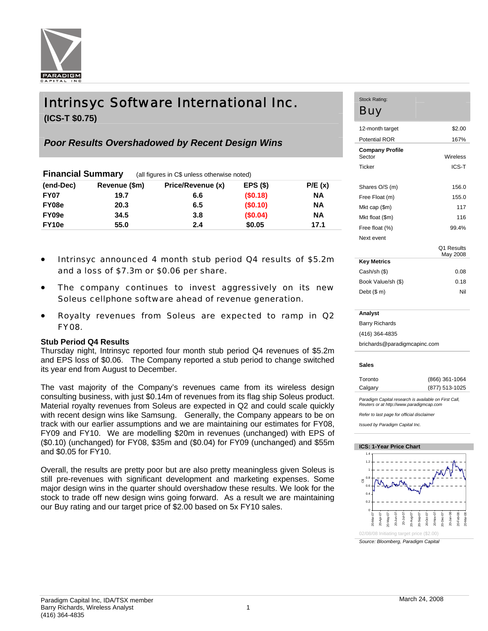

# Intrinsyc Software International Inc.

**(ICS-T \$0.75)** 

# *Poor Results Overshadowed by Recent Design Wins*

| <b>Financial Summary</b> |               | (all figures in C\$ unless otherwise noted) |          |           |  |  |
|--------------------------|---------------|---------------------------------------------|----------|-----------|--|--|
| (end-Dec)                | Revenue (\$m) | Price/Revenue (x)                           | EPS(S)   | P/E(x)    |  |  |
| <b>FY07</b>              | 19.7          | 6.6                                         | (\$0.18) | <b>NA</b> |  |  |
| FY08e                    | 20.3          | 6.5                                         | (\$0.10) | ΝA        |  |  |
| FY09e                    | 34.5          | 3.8                                         | (\$0.04) | <b>NA</b> |  |  |
| FY10e                    | 55.0          | 2.4                                         | \$0.05   | 17.1      |  |  |

- Intrinsyc announced 4 month stub period Q4 results of \$5.2m and a loss of \$7.3m or \$0.06 per share.
- The company continues to invest aggressively on its new Soleus cellphone software ahead of revenue generation.
- Royalty revenues from Soleus are expected to ramp in Q2 FY08.

# **Stub Period Q4 Results**

Thursday night, Intrinsyc reported four month stub period Q4 revenues of \$5.2m and EPS loss of \$0.06. The Company reported a stub period to change switched its year end from August to December.

The vast majority of the Company's revenues came from its wireless design consulting business, with just \$0.14m of revenues from its flag ship Soleus product. Material royalty revenues from Soleus are expected in Q2 and could scale quickly with recent design wins like Samsung. Generally, the Company appears to be on track with our earlier assumptions and we are maintaining our estimates for FY08, FY09 and FY10. We are modelling \$20m in revenues (unchanged) with EPS of (\$0.10) (unchanged) for FY08, \$35m and (\$0.04) for FY09 (unchanged) and \$55m and \$0.05 for FY10.

Overall, the results are pretty poor but are also pretty meaningless given Soleus is still pre-revenues with significant development and marketing expenses. Some major design wins in the quarter should overshadow these results. We look for the stock to trade off new design wins going forward. As a result we are maintaining our Buy rating and our target price of \$2.00 based on 5x FY10 sales.

## Stock Rating: Buy

| 12-month target                  | \$2.00                 |
|----------------------------------|------------------------|
| <b>Potential ROR</b>             | 167%                   |
| <b>Company Profile</b><br>Sector | Wireless               |
| Ticker                           | ICS-T                  |
|                                  |                        |
| Shares O/S (m)                   | 156.0                  |
| Free Float (m)                   | 155.0                  |
| Mkt cap (\$m)                    | 117                    |
| Mkt float (\$m)                  | 116                    |
| Free float (%)                   | 99.4%                  |
| Next event                       |                        |
|                                  | O1 Results<br>May 2008 |
| <b>Key Metrics</b>               |                        |
| Cash/sh (\$)                     | 0.08                   |
| Book Value/sh (\$)               | 0.18                   |
| Debt (\$ m)                      | Nil                    |
|                                  |                        |

| Analyst                      |
|------------------------------|
| <b>Barry Richards</b>        |
| (416) 364-4835               |
| brichards@paradigmcapinc.com |

## **Sales**

| Toronto | (866) 361-1064 |
|---------|----------------|
| Calgary | (877) 513-1025 |

*Paradigm Capital research is available on First Call, Reuters or at http://www.paradigmcap.com* 

*Refer to last page for official disclaimer* 

*Issued by Paradigm Capital Inc.* 

## **ICS: 1-Year Price Chart**



*Source: Bloomberg, Paradigm Capital*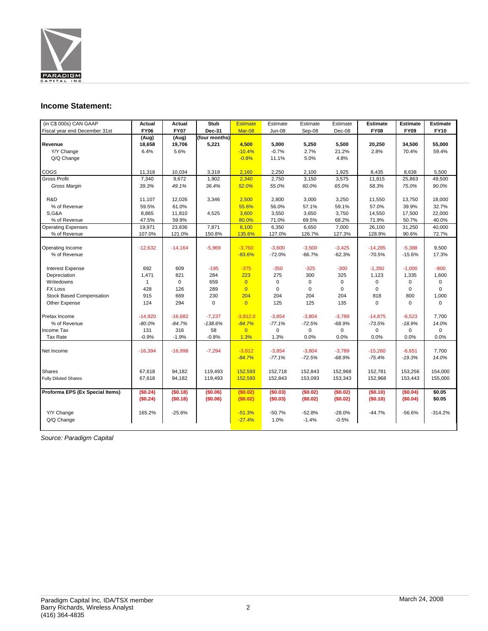

# **Income Statement:**

| (in C\$ 000s) CAN GAAP          | Actual       | Actual      | <b>Stub</b>   | <b>Estimate</b> | Estimate      | Estimate    | Estimate    | <b>Estimate</b> | <b>Estimate</b> | <b>Estimate</b> |
|---------------------------------|--------------|-------------|---------------|-----------------|---------------|-------------|-------------|-----------------|-----------------|-----------------|
| Fiscal year end December 31st   | <b>FY06</b>  | <b>FY07</b> | Dec-31        | Mar-08          | <b>Jun-08</b> | Sep-08      | Dec-08      | <b>FY08</b>     | <b>FY09</b>     | <b>FY10</b>     |
|                                 | (Aug)        | (Aug)       | (four months) |                 |               |             |             |                 |                 |                 |
| Revenue                         | 18,658       | 19,706      | 5,221         | 4,500           | 5,000         | 5,250       | 5,500       | 20,250          | 34,500          | 55,000          |
| Y/Y Change                      | 6.4%         | 5.6%        |               | $-10.4%$        | $-0.7%$       | 2.7%        | 21.2%       | 2.8%            | 70.4%           | 59.4%           |
| Q/Q Change                      |              |             |               | $-0.8%$         | 11.1%         | 5.0%        | 4.8%        |                 |                 |                 |
|                                 |              |             |               |                 |               |             |             |                 |                 |                 |
| COGS                            | 11,318       | 10,034      | 3,319         | 2,160           | 2,250         | 2,100       | 1,925       | 8,435           | 8,638           | 5,500           |
| <b>Gross Profit</b>             | 7,340        | 9,672       | 1,902         | 2,340           | 2,750         | 3,150       | 3,575       | 11,815          | 25,863          | 49,500          |
| Gross Margin                    | 39.3%        | 49.1%       | 36.4%         | 52.0%           | 55.0%         | 60.0%       | 65.0%       | 58.3%           | 75.0%           | 90.0%           |
|                                 |              |             |               |                 |               |             |             |                 |                 |                 |
| R&D                             | 11,107       | 12,026      | 3,346         | 2,500           | 2,800         | 3,000       | 3,250       | 11,550          | 13,750          | 18,000          |
| % of Revenue                    | 59.5%        | 61.0%       |               | 55.6%           | 56.0%         | 57.1%       | 59.1%       | 57.0%           | 39.9%           | 32.7%           |
| <b>S,G&amp;A</b>                | 8,865        | 11,810      | 4,525         | 3,600           | 3,550         | 3,650       | 3,750       | 14,550          | 17,500          | 22,000          |
| % of Revenue                    | 47.5%        | 59.9%       |               | 80.0%           | 71.0%         | 69.5%       | 68.2%       | 71.9%           | 50.7%           | 40.0%           |
| <b>Operating Expenses</b>       | 19,971       | 23,836      | 7,871         | 6,100           | 6,350         | 6,650       | 7,000       | 26,100          | 31,250          | 40,000          |
| % of Revenue                    | 107.0%       | 121.0%      | 150.8%        | 135.6%          | 127.0%        | 126.7%      | 127.3%      | 128.9%          | 90.6%           | 72.7%           |
|                                 |              |             |               |                 |               |             |             |                 |                 |                 |
| Operating Income                | $-12,632$    | $-14,164$   | $-5,969$      | $-3,760$        | $-3,600$      | $-3,500$    | $-3,425$    | $-14,285$       | $-5,388$        | 9,500           |
| % of Revenue                    |              |             |               | $-83.6%$        | $-72.0%$      | $-66.7%$    | $-62.3%$    | $-70.5%$        | $-15.6%$        | 17.3%           |
|                                 |              |             |               |                 |               |             |             |                 |                 |                 |
| <b>Interest Expense</b>         | 692          | 609         | $-195$        | $-375$          | $-350$        | $-325$      | $-300$      | $-1,350$        | $-1.000$        | $-800$          |
| Depreciation                    | 1,471        | 821         | 284           | 223             | 275           | 300         | 325         | 1,123           | 1,335           | 1,600           |
| Writedowns                      | $\mathbf{1}$ | 0           | 659           | $\overline{0}$  | $\mathbf 0$   | 0           | 0           | 0               | 0               | $\mathbf 0$     |
| <b>FX Loss</b>                  | 428          | 126         | 289           | $\overline{0}$  | $\mathbf 0$   | $\mathbf 0$ | $\mathbf 0$ | $\mathbf 0$     | $\mathbf 0$     | $\mathbf 0$     |
| <b>Stock Based Compensation</b> | 915          | 669         | 230           | 204             | 204           | 204         | 204         | 818             | 800             | 1,000           |
| Other Expense                   | 124          | 294         | $\mathbf 0$   | $\overline{0}$  | 125           | 125         | 135         | $\mathsf 0$     | 0               | $\mathbf 0$     |
|                                 |              |             |               |                 |               |             |             |                 |                 |                 |
| Pretax Income                   | $-14.920$    | $-16,682$   | $-7,237$      | $-3,812.0$      | $-3,854$      | $-3,804$    | $-3.789$    | $-14,875$       | $-6.523$        | 7.700           |
| % of Revenue                    | $-80.0%$     | $-84.7%$    | $-138.6%$     | $-84.7%$        | $-77.1%$      | $-72.5%$    | $-68.9%$    | $-73.5%$        | $-18.9%$        | 14.0%           |
| Income Tax                      | 131          | 316         | 58            | $\overline{0}$  | $\mathbf 0$   | $\mathbf 0$ | $\mathbf 0$ | $\mathbf 0$     | $\mathbf 0$     | $\Omega$        |
| Tax Rate                        | $-0.9%$      | $-1.9%$     | $-0.8%$       | 1.3%            | 1.3%          | 0.0%        | 0.0%        | 0.0%            | 0.0%            | 0.0%            |
|                                 |              |             |               |                 |               |             |             |                 |                 |                 |
| Net Income                      | $-16,394$    | $-16,998$   | $-7,294$      | $-3,812$        | $-3,854$      | $-3,804$    | $-3,789$    | $-15,260$       | $-6,651$        | 7,700           |
|                                 |              |             |               | $-84.7%$        | $-77.1%$      | $-72.5%$    | $-68.9%$    | $-75.4%$        | $-19.3%$        | 14.0%           |
|                                 |              |             |               |                 |               |             |             |                 |                 |                 |
| <b>Shares</b>                   | 67,618       | 94,182      | 119,493       | 152,593         | 152,718       | 152,843     | 152,968     | 152,781         | 153,256         | 154,000         |
| <b>Fully Diluted Shares</b>     | 67,618       | 94,182      | 119,493       | 152,593         | 152,843       | 153,093     | 153,343     | 152,968         | 153,443         | 155,000         |
|                                 |              |             |               |                 |               |             |             |                 |                 |                 |
| Proforma EPS (Ex Special Items) | (\$0.24)     | (\$0.18)    | (\$0.06)      | (\$0.02)        | (\$0.03)      | (\$0.02)    | (\$0.02)    | (S0.10)         | (S0.04)         | \$0.05          |
|                                 | (\$0.24)     | (\$0.18)    | (\$0.06)      | (\$0.02)        | (\$0.03)      | (\$0.02)    | (\$0.02)    | (\$0.10)        | (\$0.04)        | \$0.05          |
|                                 |              |             |               |                 |               |             |             |                 |                 |                 |
| Y/Y Change                      | 165.2%       | $-25.6%$    |               | $-51.3%$        | $-50.7%$      | $-52.8%$    | $-28.0%$    | $-44.7%$        | $-56.6%$        | $-314.2%$       |
| Q/Q Change                      |              |             |               | $-27.4%$        | 1.0%          | $-1.4%$     | $-0.5%$     |                 |                 |                 |
|                                 |              |             |               |                 |               |             |             |                 |                 |                 |

*Source: Paradigm Capital*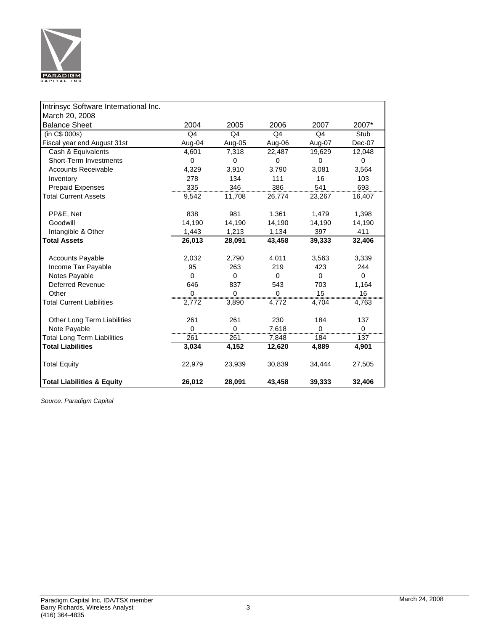

| Intrinsyc Software International Inc. |                |                |                |                |        |
|---------------------------------------|----------------|----------------|----------------|----------------|--------|
| March 20, 2008                        |                |                |                |                |        |
| <b>Balance Sheet</b>                  | 2004           | 2005           | 2006           | 2007           | 2007*  |
| (in C\$ 000s)                         | Q <sub>4</sub> | Q <sub>4</sub> | Q <sub>4</sub> | Q <sub>4</sub> | Stub   |
| Fiscal year end August 31st           | Aug-04         | Aug-05         | Aug-06         | Aug-07         | Dec-07 |
| Cash & Equivalents                    | 4,601          | 7,318          | 22,487         | 19,629         | 12,048 |
| <b>Short-Term Investments</b>         | $\Omega$       | $\Omega$       | $\Omega$       | 0              | 0      |
| <b>Accounts Receivable</b>            | 4,329          | 3,910          | 3,790          | 3,081          | 3,564  |
| Inventory                             | 278            | 134            | 111            | 16             | 103    |
| <b>Prepaid Expenses</b>               | 335            | 346            | 386            | 541            | 693    |
| <b>Total Current Assets</b>           | 9,542          | 11,708         | 26,774         | 23,267         | 16,407 |
|                                       |                |                |                |                |        |
| PP&E, Net                             | 838            | 981            | 1,361          | 1,479          | 1,398  |
| Goodwill                              | 14,190         | 14,190         | 14,190         | 14,190         | 14,190 |
| Intangible & Other                    | 1,443          | 1,213          | 1,134          | 397            | 411    |
| <b>Total Assets</b>                   | 26,013         | 28,091         | 43,458         | 39,333         | 32,406 |
|                                       |                |                |                |                |        |
| <b>Accounts Payable</b>               | 2,032          | 2,790          | 4,011          | 3,563          | 3,339  |
| Income Tax Payable                    | 95             | 263            | 219            | 423            | 244    |
| Notes Payable                         | $\Omega$       | 0              | $\Omega$       | $\Omega$       | 0      |
| <b>Deferred Revenue</b>               | 646            | 837            | 543            | 703            | 1,164  |
| Other                                 | 0              | $\Omega$       | $\Omega$       | 15             | 16     |
| <b>Total Current Liabilities</b>      | 2,772          | 3,890          | 4,772          | 4,704          | 4,763  |
|                                       |                |                |                |                |        |
| Other Long Term Liabilities           | 261            | 261            | 230            | 184            | 137    |
| Note Payable                          |                |                | 7,618          |                |        |
| <b>Total Long Term Liabilities</b>    | 261            | 261            | 7,848          | 184            | 137    |
| <b>Total Liabilities</b>              | 3,034          | 4,152          | 12,620         | 4,889          | 4,901  |
| <b>Total Equity</b>                   | 22,979         | 23,939         | 30,839         | 34,444         | 27,505 |
| <b>Total Liabilities &amp; Equity</b> | 26,012         | 28,091         | 43,458         | 39,333         | 32,406 |

*Source: Paradigm Capital*